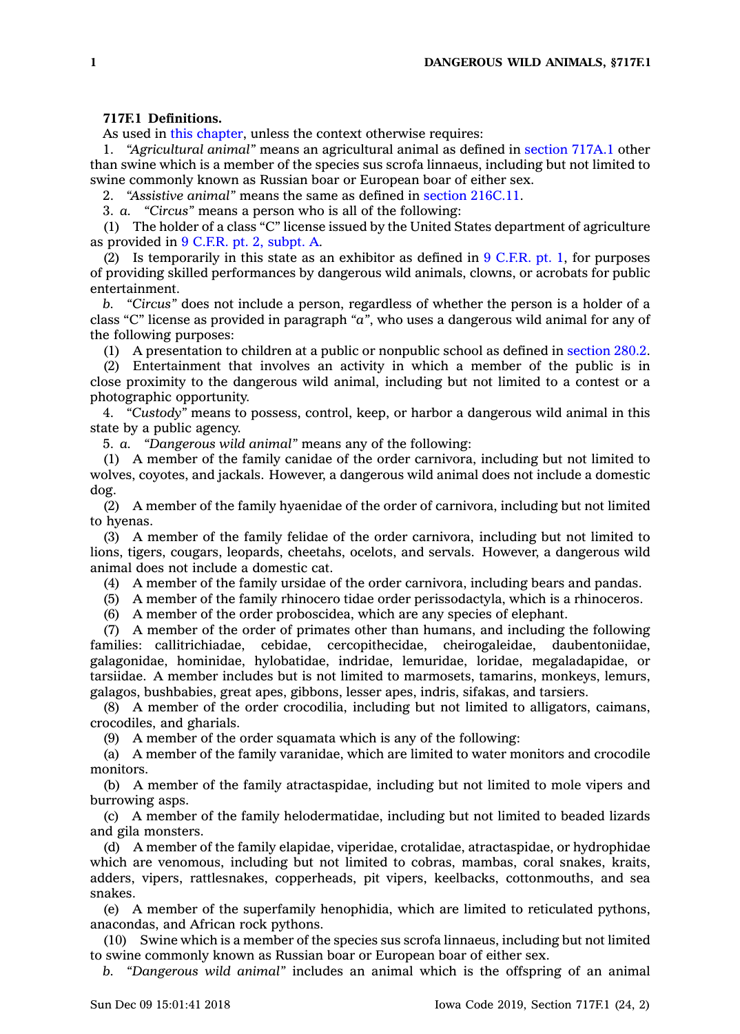## **717F.1 Definitions.**

As used in this [chapter](https://www.legis.iowa.gov/docs/code//717F.pdf), unless the context otherwise requires:

1. *"Agricultural animal"* means an agricultural animal as defined in [section](https://www.legis.iowa.gov/docs/code/717A.1.pdf) 717A.1 other than swine which is <sup>a</sup> member of the species sus scrofa linnaeus, including but not limited to swine commonly known as Russian boar or European boar of either sex.

2. *"Assistive animal"* means the same as defined in section [216C.11](https://www.legis.iowa.gov/docs/code/216C.11.pdf).

3. *a. "Circus"* means <sup>a</sup> person who is all of the following:

(1) The holder of <sup>a</sup> class "C" license issued by the United States department of agriculture as provided in 9 C.F.R. pt. 2, [subpt.](https://www.law.cornell.edu/cfr/text/9/part-2/subpart-A) A.

(2) Is temporarily in this state as an exhibitor as defined in  $9 \text{ C.F.R. pt. } 1$  $9 \text{ C.F.R. pt. } 1$  $9 \text{ C.F.R. pt. } 1$ , for purposes of providing skilled performances by dangerous wild animals, clowns, or acrobats for public entertainment.

*b. "Circus"* does not include <sup>a</sup> person, regardless of whether the person is <sup>a</sup> holder of <sup>a</sup> class "C" license as provided in paragraph *"a"*, who uses <sup>a</sup> dangerous wild animal for any of the following purposes:

(1) A presentation to children at <sup>a</sup> public or nonpublic school as defined in [section](https://www.legis.iowa.gov/docs/code/280.2.pdf) 280.2.

(2) Entertainment that involves an activity in which <sup>a</sup> member of the public is in close proximity to the dangerous wild animal, including but not limited to <sup>a</sup> contest or <sup>a</sup> photographic opportunity.

4. *"Custody"* means to possess, control, keep, or harbor <sup>a</sup> dangerous wild animal in this state by <sup>a</sup> public agency.

5. *a. "Dangerous wild animal"* means any of the following:

(1) A member of the family canidae of the order carnivora, including but not limited to wolves, coyotes, and jackals. However, <sup>a</sup> dangerous wild animal does not include <sup>a</sup> domestic dog.

(2) A member of the family hyaenidae of the order of carnivora, including but not limited to hyenas.

(3) A member of the family felidae of the order carnivora, including but not limited to lions, tigers, cougars, leopards, cheetahs, ocelots, and servals. However, <sup>a</sup> dangerous wild animal does not include <sup>a</sup> domestic cat.

(4) A member of the family ursidae of the order carnivora, including bears and pandas.

(5) A member of the family rhinocero tidae order perissodactyla, which is <sup>a</sup> rhinoceros.

(6) A member of the order proboscidea, which are any species of elephant.

(7) A member of the order of primates other than humans, and including the following families: callitrichiadae, cebidae, cercopithecidae, cheirogaleidae, daubentoniidae, galagonidae, hominidae, hylobatidae, indridae, lemuridae, loridae, megaladapidae, or tarsiidae. A member includes but is not limited to marmosets, tamarins, monkeys, lemurs, galagos, bushbabies, great apes, gibbons, lesser apes, indris, sifakas, and tarsiers.

(8) A member of the order crocodilia, including but not limited to alligators, caimans, crocodiles, and gharials.

(9) A member of the order squamata which is any of the following:

(a) A member of the family varanidae, which are limited to water monitors and crocodile monitors.

(b) A member of the family atractaspidae, including but not limited to mole vipers and burrowing asps.

(c) A member of the family helodermatidae, including but not limited to beaded lizards and gila monsters.

(d) A member of the family elapidae, viperidae, crotalidae, atractaspidae, or hydrophidae which are venomous, including but not limited to cobras, mambas, coral snakes, kraits, adders, vipers, rattlesnakes, copperheads, pit vipers, keelbacks, cottonmouths, and sea snakes.

(e) A member of the superfamily henophidia, which are limited to reticulated pythons, anacondas, and African rock pythons.

(10) Swine which is <sup>a</sup> member of the species sus scrofa linnaeus, including but not limited to swine commonly known as Russian boar or European boar of either sex.

*b. "Dangerous wild animal"* includes an animal which is the offspring of an animal